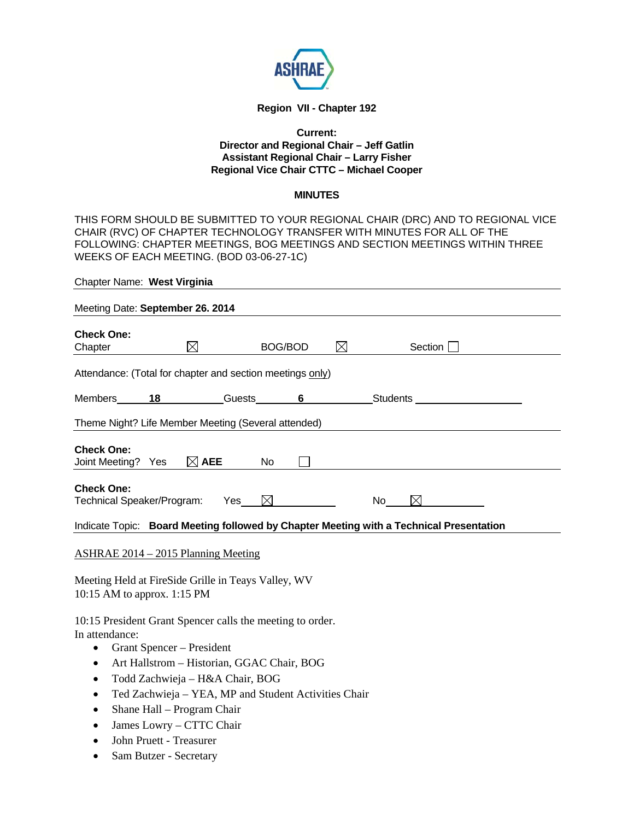

### **Region VII - Chapter 192**

### **Current: Director and Regional Chair – Jeff Gatlin Assistant Regional Chair – Larry Fisher Regional Vice Chair CTTC – Michael Cooper**

#### **MINUTES**

THIS FORM SHOULD BE SUBMITTED TO YOUR REGIONAL CHAIR (DRC) AND TO REGIONAL VICE CHAIR (RVC) OF CHAPTER TECHNOLOGY TRANSFER WITH MINUTES FOR ALL OF THE FOLLOWING: CHAPTER MEETINGS, BOG MEETINGS AND SECTION MEETINGS WITHIN THREE WEEKS OF EACH MEETING. (BOD 03-06-27-1C)

| Chapter Name: West Virginia                                                             |                              |         |             |                                                    |  |
|-----------------------------------------------------------------------------------------|------------------------------|---------|-------------|----------------------------------------------------|--|
| Meeting Date: September 26. 2014                                                        |                              |         |             |                                                    |  |
| <b>Check One:</b><br>$\boxtimes$<br>Chapter                                             |                              | BOG/BOD | $\boxtimes$ | Section                                            |  |
| Attendance: (Total for chapter and section meetings only)                               |                              |         |             |                                                    |  |
| Members 18 Guests 6 Students                                                            |                              |         |             |                                                    |  |
| Theme Night? Life Member Meeting (Several attended)                                     |                              |         |             |                                                    |  |
| <b>Check One:</b><br>Joint Meeting? Yes                                                 | $\boxtimes$ AEE<br><b>No</b> |         |             |                                                    |  |
| <b>Check One:</b><br>Technical Speaker/Program: Yes_ $\boxtimes$                        |                              |         |             | $\boxtimes$ and $\boxtimes$<br>$No$ <sub>---</sub> |  |
| Indicate Topic: Board Meeting followed by Chapter Meeting with a Technical Presentation |                              |         |             |                                                    |  |
| <b>ASHRAE 2014 – 2015 Planning Meeting</b>                                              |                              |         |             |                                                    |  |
| Meeting Held at FireSide Grille in Teays Valley, WV<br>10:15 AM to approx. 1:15 PM      |                              |         |             |                                                    |  |
| 10:15 President Grant Spencer calls the meeting to order.                               |                              |         |             |                                                    |  |

In attendance:

- Grant Spencer President
- Art Hallstrom Historian, GGAC Chair, BOG
- Todd Zachwieja H&A Chair, BOG
- Ted Zachwieja YEA, MP and Student Activities Chair
- Shane Hall Program Chair
- James Lowry CTTC Chair
- John Pruett Treasurer
- Sam Butzer Secretary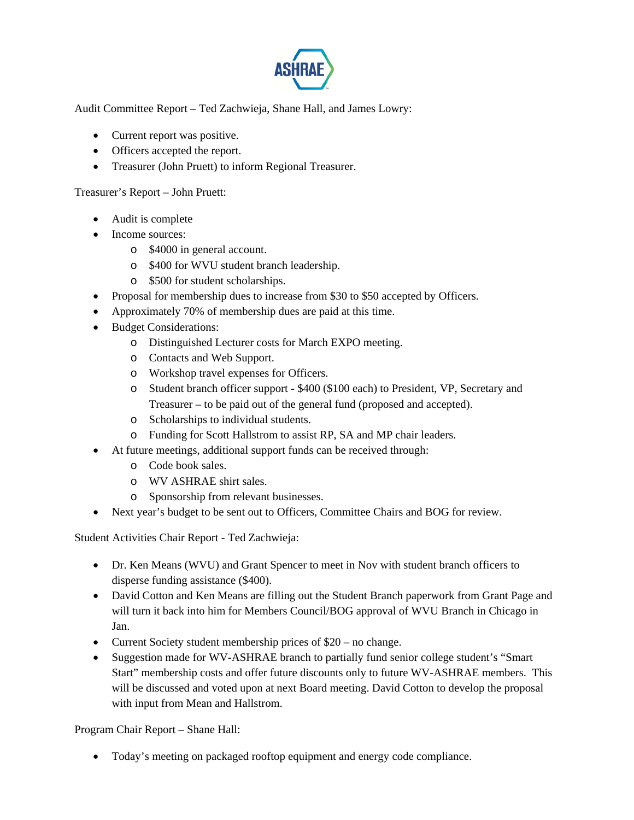

Audit Committee Report – Ted Zachwieja, Shane Hall, and James Lowry:

- Current report was positive.
- Officers accepted the report.
- Treasurer (John Pruett) to inform Regional Treasurer.

Treasurer's Report – John Pruett:

- Audit is complete
- Income sources:
	- o \$4000 in general account.
	- o \$400 for WVU student branch leadership.
	- o \$500 for student scholarships.
- Proposal for membership dues to increase from \$30 to \$50 accepted by Officers.
- Approximately 70% of membership dues are paid at this time.
- Budget Considerations:
	- o Distinguished Lecturer costs for March EXPO meeting.
	- o Contacts and Web Support.
	- o Workshop travel expenses for Officers.
	- o Student branch officer support \$400 (\$100 each) to President, VP, Secretary and Treasurer – to be paid out of the general fund (proposed and accepted).
	- o Scholarships to individual students.
	- o Funding for Scott Hallstrom to assist RP, SA and MP chair leaders.
- At future meetings, additional support funds can be received through:
	- o Code book sales.
	- o WV ASHRAE shirt sales.
	- o Sponsorship from relevant businesses.
- Next year's budget to be sent out to Officers, Committee Chairs and BOG for review.

Student Activities Chair Report - Ted Zachwieja:

- Dr. Ken Means (WVU) and Grant Spencer to meet in Nov with student branch officers to disperse funding assistance (\$400).
- David Cotton and Ken Means are filling out the Student Branch paperwork from Grant Page and will turn it back into him for Members Council/BOG approval of WVU Branch in Chicago in Jan.
- Current Society student membership prices of \$20 no change.
- Suggestion made for WV-ASHRAE branch to partially fund senior college student's "Smart Start" membership costs and offer future discounts only to future WV-ASHRAE members. This will be discussed and voted upon at next Board meeting. David Cotton to develop the proposal with input from Mean and Hallstrom.

Program Chair Report – Shane Hall:

Today's meeting on packaged rooftop equipment and energy code compliance.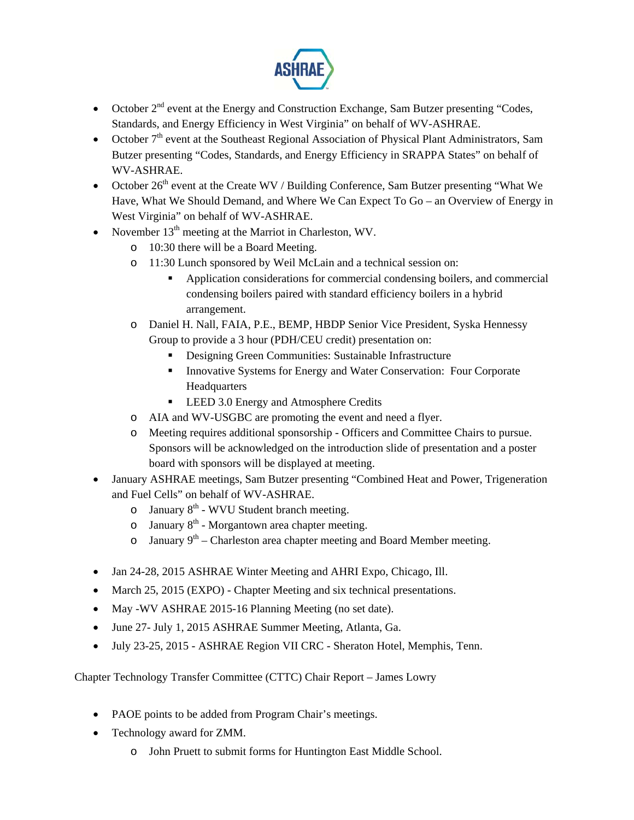

- October  $2<sup>nd</sup>$  event at the Energy and Construction Exchange, Sam Butzer presenting "Codes, Standards, and Energy Efficiency in West Virginia" on behalf of WV-ASHRAE.
- October  $7<sup>th</sup>$  event at the Southeast Regional Association of Physical Plant Administrators, Sam Butzer presenting "Codes, Standards, and Energy Efficiency in SRAPPA States" on behalf of WV-ASHRAE.
- October  $26<sup>th</sup>$  event at the Create WV / Building Conference, Sam Butzer presenting "What We Have, What We Should Demand, and Where We Can Expect To Go – an Overview of Energy in West Virginia" on behalf of WV-ASHRAE.
- November  $13<sup>th</sup>$  meeting at the Marriot in Charleston, WV.
	- o 10:30 there will be a Board Meeting.
	- o 11:30 Lunch sponsored by Weil McLain and a technical session on:
		- Application considerations for commercial condensing boilers, and commercial condensing boilers paired with standard efficiency boilers in a hybrid arrangement.
	- o Daniel H. Nall, FAIA, P.E., BEMP, HBDP Senior Vice President, Syska Hennessy Group to provide a 3 hour (PDH/CEU credit) presentation on:
		- Designing Green Communities: Sustainable Infrastructure
		- **Innovative Systems for Energy and Water Conservation: Four Corporate** Headquarters
		- LEED 3.0 Energy and Atmosphere Credits
	- o AIA and WV-USGBC are promoting the event and need a flyer.
	- o Meeting requires additional sponsorship Officers and Committee Chairs to pursue. Sponsors will be acknowledged on the introduction slide of presentation and a poster board with sponsors will be displayed at meeting.
- January ASHRAE meetings, Sam Butzer presenting "Combined Heat and Power, Trigeneration and Fuel Cells" on behalf of WV-ASHRAE.
	- $\circ$  January  $8<sup>th</sup>$  WVU Student branch meeting.
	- $\circ$  January 8<sup>th</sup> Morgantown area chapter meeting.
	- o January  $9<sup>th</sup>$  Charleston area chapter meeting and Board Member meeting.
- Jan 24-28, 2015 ASHRAE Winter Meeting and AHRI Expo, Chicago, Ill.
- March 25, 2015 (EXPO) Chapter Meeting and six technical presentations.
- May -WV ASHRAE 2015-16 Planning Meeting (no set date).
- June 27- July 1, 2015 ASHRAE Summer Meeting, Atlanta, Ga.
- July 23-25, 2015 ASHRAE Region VII CRC Sheraton Hotel, Memphis, Tenn.

Chapter Technology Transfer Committee (CTTC) Chair Report – James Lowry

- PAOE points to be added from Program Chair's meetings.
- Technology award for ZMM.
	- o John Pruett to submit forms for Huntington East Middle School.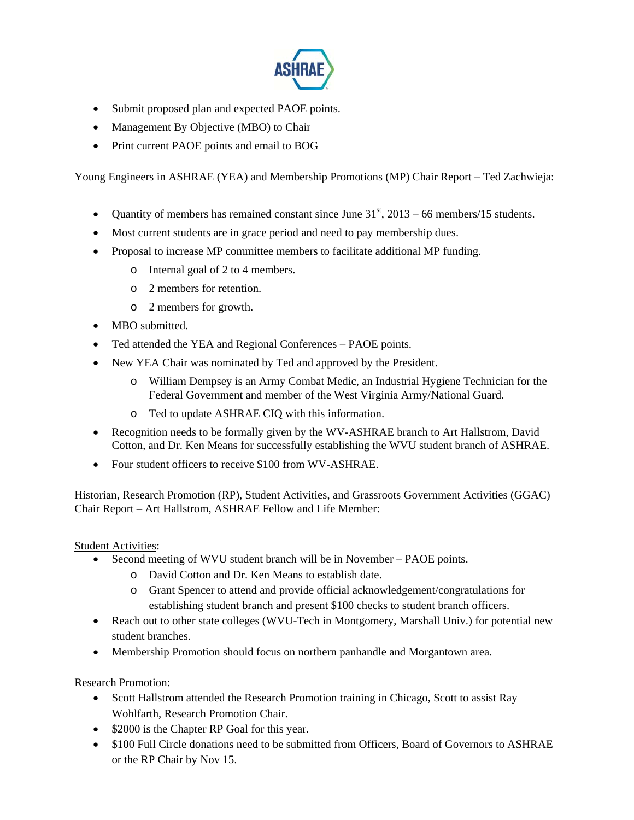

- Submit proposed plan and expected PAOE points.
- Management By Objective (MBO) to Chair
- Print current PAOE points and email to BOG

Young Engineers in ASHRAE (YEA) and Membership Promotions (MP) Chair Report – Ted Zachwieja:

- Ouantity of members has remained constant since June  $31<sup>st</sup>$ , 2013 66 members/15 students.
- Most current students are in grace period and need to pay membership dues.
- Proposal to increase MP committee members to facilitate additional MP funding.
	- o Internal goal of 2 to 4 members.
	- o 2 members for retention.
	- o 2 members for growth.
- MBO submitted.
- Ted attended the YEA and Regional Conferences PAOE points.
- New YEA Chair was nominated by Ted and approved by the President.
	- o William Dempsey is an Army Combat Medic, an Industrial Hygiene Technician for the Federal Government and member of the West Virginia Army/National Guard.
	- o Ted to update ASHRAE CIQ with this information.
- Recognition needs to be formally given by the WV-ASHRAE branch to Art Hallstrom, David Cotton, and Dr. Ken Means for successfully establishing the WVU student branch of ASHRAE.
- Four student officers to receive \$100 from WV-ASHRAE.

Historian, Research Promotion (RP), Student Activities, and Grassroots Government Activities (GGAC) Chair Report – Art Hallstrom, ASHRAE Fellow and Life Member:

Student Activities:

- Second meeting of WVU student branch will be in November PAOE points.
	- o David Cotton and Dr. Ken Means to establish date.
	- o Grant Spencer to attend and provide official acknowledgement/congratulations for establishing student branch and present \$100 checks to student branch officers.
- Reach out to other state colleges (WVU-Tech in Montgomery, Marshall Univ.) for potential new student branches.
- Membership Promotion should focus on northern panhandle and Morgantown area.

Research Promotion:

- Scott Hallstrom attended the Research Promotion training in Chicago, Scott to assist Ray Wohlfarth, Research Promotion Chair.
- \$2000 is the Chapter RP Goal for this year.
- \$100 Full Circle donations need to be submitted from Officers, Board of Governors to ASHRAE or the RP Chair by Nov 15.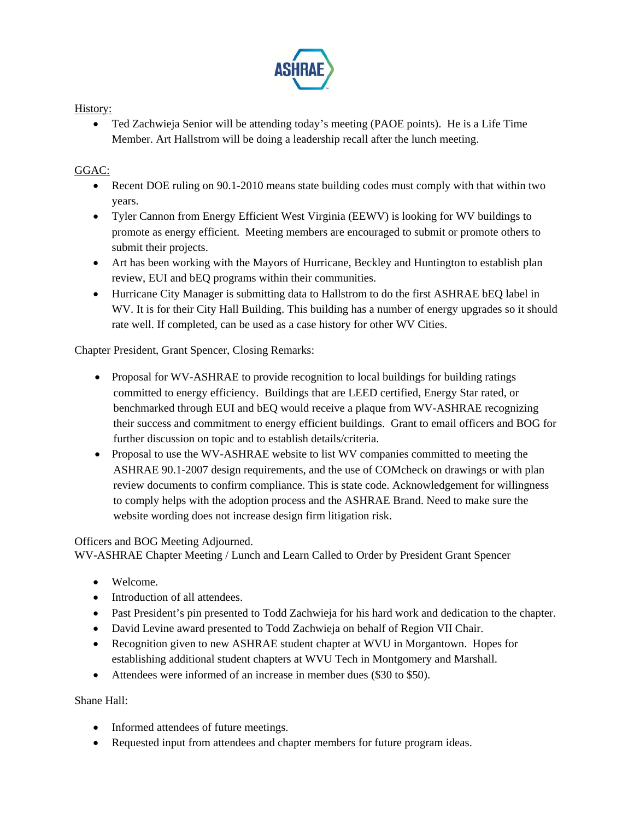

## History:

 Ted Zachwieja Senior will be attending today's meeting (PAOE points). He is a Life Time Member. Art Hallstrom will be doing a leadership recall after the lunch meeting.

# GGAC:

- Recent DOE ruling on 90.1-2010 means state building codes must comply with that within two years.
- Tyler Cannon from Energy Efficient West Virginia (EEWV) is looking for WV buildings to promote as energy efficient. Meeting members are encouraged to submit or promote others to submit their projects.
- Art has been working with the Mayors of Hurricane, Beckley and Huntington to establish plan review, EUI and bEQ programs within their communities.
- Hurricane City Manager is submitting data to Hallstrom to do the first ASHRAE bEQ label in WV. It is for their City Hall Building. This building has a number of energy upgrades so it should rate well. If completed, can be used as a case history for other WV Cities.

Chapter President, Grant Spencer, Closing Remarks:

- Proposal for WV-ASHRAE to provide recognition to local buildings for building ratings committed to energy efficiency. Buildings that are LEED certified, Energy Star rated, or benchmarked through EUI and bEQ would receive a plaque from WV-ASHRAE recognizing their success and commitment to energy efficient buildings. Grant to email officers and BOG for further discussion on topic and to establish details/criteria.
- Proposal to use the WV-ASHRAE website to list WV companies committed to meeting the ASHRAE 90.1-2007 design requirements, and the use of COMcheck on drawings or with plan review documents to confirm compliance. This is state code. Acknowledgement for willingness to comply helps with the adoption process and the ASHRAE Brand. Need to make sure the website wording does not increase design firm litigation risk.

## Officers and BOG Meeting Adjourned.

WV-ASHRAE Chapter Meeting / Lunch and Learn Called to Order by President Grant Spencer

- Welcome.
- Introduction of all attendees.
- Past President's pin presented to Todd Zachwieja for his hard work and dedication to the chapter.
- David Levine award presented to Todd Zachwieja on behalf of Region VII Chair.
- Recognition given to new ASHRAE student chapter at WVU in Morgantown. Hopes for establishing additional student chapters at WVU Tech in Montgomery and Marshall.
- Attendees were informed of an increase in member dues (\$30 to \$50).

Shane Hall:

- Informed attendees of future meetings.
- Requested input from attendees and chapter members for future program ideas.